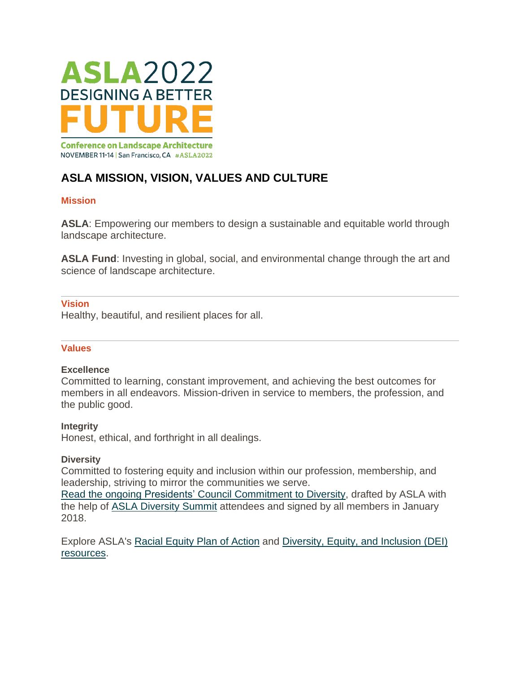

# **ASLA MISSION, VISION, VALUES AND CULTURE**

# **Mission**

**ASLA**: Empowering our members to design a sustainable and equitable world through landscape architecture.

**ASLA Fund**: Investing in global, social, and environmental change through the art and science of landscape architecture.

# **Vision**

Healthy, beautiful, and resilient places for all.

# **Values**

## **Excellence**

Committed to learning, constant improvement, and achieving the best outcomes for members in all endeavors. Mission-driven in service to members, the profession, and the public good.

# **Integrity**

Honest, ethical, and forthright in all dealings.

# **Diversity**

Committed to fostering equity and inclusion within our profession, membership, and leadership, striving to mirror the communities we serve.

Read the ongoing Presidents' Council [Commitment](https://www.asla.org/uploadedFiles/CMS/AboutJoin/MirroringTheNationOfficial.pdf) to Diversity, drafted by ASLA with the help of ASLA [Diversity](https://www.asla.org/diversitysummit.aspx) Summit attendees and signed by all members in January 2018.

Explore ASLA's Racial [Equity](https://www.asla.org/racialequityplan) Plan of Action and [Diversity,](https://www.asla.org/dei.aspx) Equity, and Inclusion (DEI) [resources.](https://www.asla.org/dei.aspx)